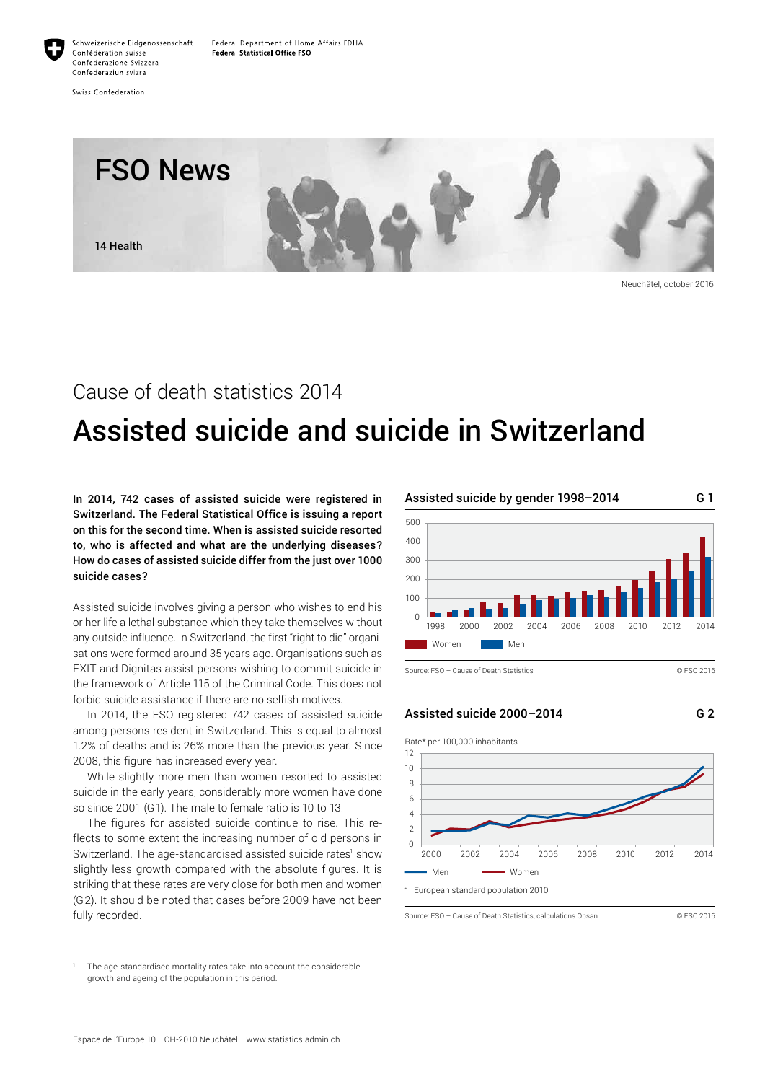

Confederaziun svizra Swiss Confederation

Confédération suisse

Confederazione Svizzera



Neuchâtel, october 2016

# Cause of death statistics 2014

# Assisted suicide and suicide in Switzerland

In 2014, 742 cases of assisted suicide were registered in Switzerland. The Federal Statistical Office is issuing a report on this for the second time. When is assisted suicide resorted to, who is affected and what are the underlying diseases? How do cases of assisted suicide differ from the just over 1000 suicide cases?

Assisted suicide involves giving a person who wishes to end his or her life a lethal substance which they take themselves without any outside influence. In Switzerland, the first "right to die" organisations were formed around 35 years ago. Organisations such as EXIT and Dignitas assist persons wishing to commit suicide in the framework of Article 115 of the Criminal Code. This does not forbid suicide assistance if there are no selfish motives.

In 2014, the FSO registered 742 cases of assisted suicide among persons resident in Switzerland. This is equal to almost 1.2% of deaths and is 26% more than the previous year. Since 2008, this figure has increased every year.

While slightly more men than women resorted to assisted suicide in the early years, considerably more women have done so since 2001 (G1). The male to female ratio is 10 to 13.

The figures for assisted suicide continue to rise. This reflects to some extent the increasing number of old persons in Switzerland. The age-standardised assisted suicide rates<sup>1</sup> show slightly less growth compared with the absolute figures. It is striking that these rates are very close for both men and women (G2). It should be noted that cases before 2009 have not been fully recorded.



Source: FSO – Cause of Death Statistics © FSO 2016

G 2

Assisted suicide 2000–2014



Source: FSO – Cause of Death Statistics, calculations Obsan © FSO 2016

The age-standardised mortality rates take into account the considerable growth and ageing of the population in this period.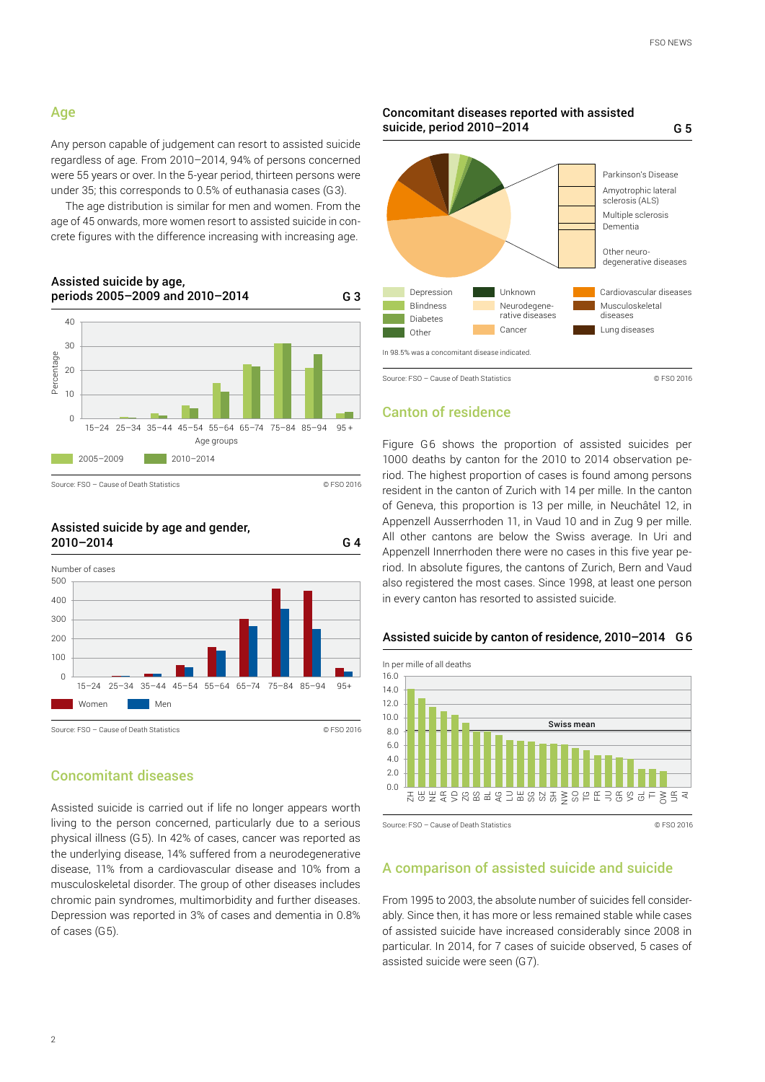# Age

Any person capable of judgement can resort to assisted suicide regardless of age. From 2010–2014, 94% of persons concerned were 55 years or over. In the 5-year period, thirteen persons were under 35; this corresponds to 0.5% of euthanasia cases (G3).

The age distribution is similar for men and women. From the age of 45 onwards, more women resort to assisted suicide in concrete figures with the difference increasing with increasing age.



Assisted suicide by age and gender,



# Concomitant diseases

Assisted suicide is carried out if life no longer appears worth living to the person concerned, particularly due to a serious physical illness (G5). In 42% of cases, cancer was reported as the underlying disease, 14% suffered from a neurodegenerative disease, 11% from a cardiovascular disease and 10% from a musculoskeletal disorder. The group of other diseases includes chromic pain syndromes, multimorbidity and further diseases. Depression was reported in 3% of cases and dementia in 0.8% of cases (G5).



Concomitant diseases reported with assisted

# Canton of residence

Figure G6 shows the proportion of assisted suicides per 1000 deaths by canton for the 2010 to 2014 observation period. The highest proportion of cases is found among persons resident in the canton of Zurich with 14 per mille. In the canton of Geneva, this proportion is 13 per mille, in Neuchâtel 12, in Appenzell Ausserrhoden 11, in Vaud 10 and in Zug 9 per mille. All other cantons are below the Swiss average. In Uri and Appenzell Innerrhoden there were no cases in this five year period. In absolute figures, the cantons of Zurich, Bern and Vaud also registered the most cases. Since 1998, at least one person in every canton has resorted to assisted suicide.



Assisted suicide by canton of residence, 2010–2014 G 6

Source: FSO – Cause of Death Statistics © FSO 2016

# A comparison of assisted suicide and suicide

From 1995 to 2003, the absolute number of suicides fell considerably. Since then, it has more or less remained stable while cases of assisted suicide have increased considerably since 2008 in particular. In 2014, for 7 cases of suicide observed, 5 cases of assisted suicide were seen (G7).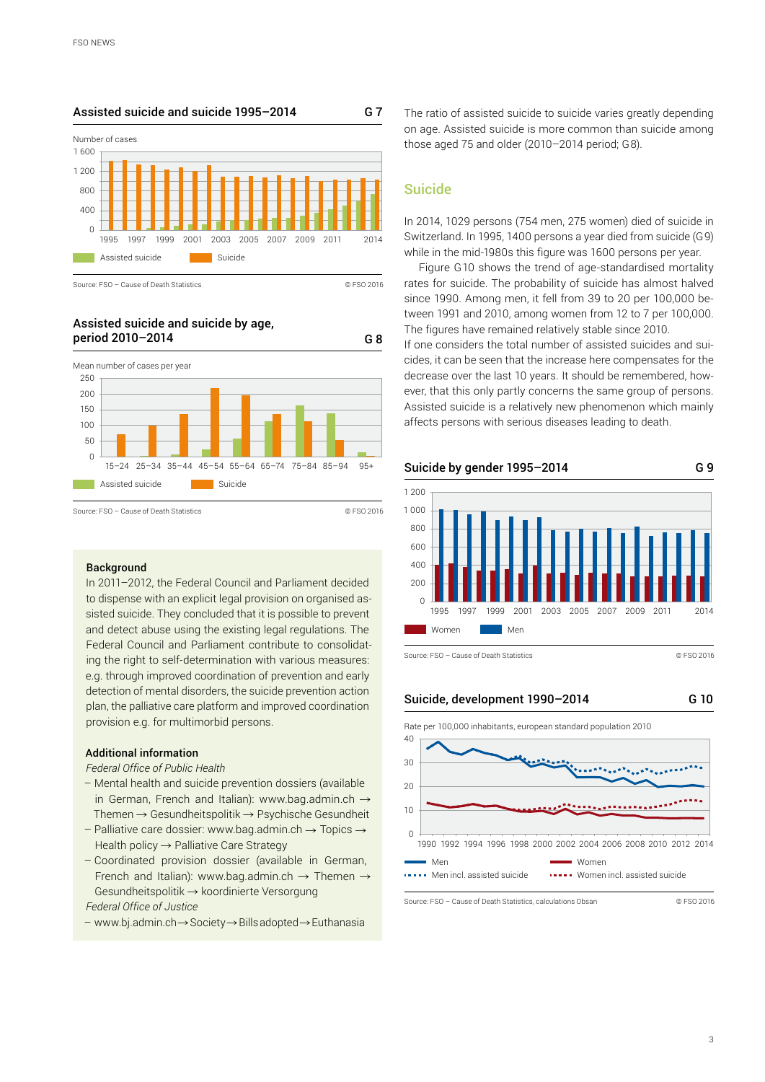## Assisted suicide and suicide 1995–2014 G 7



Source: FSO – Cause of Death Statistics © FSO 2016

#### Assisted suicide and suicide by age, period 2010–2014 G 8



#### **Background**

In 2011–2012, the Federal Council and Parliament decided to dispense with an explicit legal provision on organised assisted suicide. They concluded that it is possible to prevent and detect abuse using the existing legal regulations. The Federal Council and Parliament contribute to consolidating the right to self-determination with various measures: e.g. through improved coordination of prevention and early detection of mental disorders, the suicide prevention action plan, the palliative care platform and improved coordination provision e.g. for multimorbid persons.

#### Additional information

#### *Federal Office of Public Health*

- Mental health and suicide prevention dossiers (available in German, French and Italian): [www.bag.admin.ch](http://www.bag.admin.ch)  $\rightarrow$ Themen  $\rightarrow$  Gesundheitspolitik  $\rightarrow$  [Psychische Gesundheit](http://www.bag.admin.ch/themen/gesundheitspolitik/14149/index.html?lang=de)
- Palliative care dossier: [www.bag.admin.ch](http://www.bag.admin.ch/)  $\rightarrow$  Topics  $\rightarrow$ Health policy  $\rightarrow$  [Palliative Care Strategy](http://www.bag.admin.ch/themen/gesundheitspolitik/13764/index.html?lang=de)
- Coordinated provision dossier (available in German, French and Italian): [www.bag.admin.ch](http://www.bag.admin.ch)  $\rightarrow$  Themen  $\rightarrow$  $G$ esundheitspolitik  $\rightarrow$  [koordinierte Versorgung](http://www.bag.admin.ch/themen/gesundheitspolitik/15937/index.html?lang=de) *[Federal Office of Justice](https://www.bj.admin.ch/bj/en/home.html)*

 $-$  www.bj.admin.ch  $\rightarrow$  Society  $\rightarrow$  Bills adopted  $\rightarrow$  Euthanasia

The ratio of assisted suicide to suicide varies greatly depending on age. Assisted suicide is more common than suicide among those aged 75 and older (2010–2014 period; G8).

# Suicide

In 2014, 1029 persons (754 men, 275 women) died of suicide in Switzerland. In 1995, 1400 persons a year died from suicide (G9) while in the mid-1980s this figure was 1600 persons per year.

Figure G10 shows the trend of age-standardised mortality rates for suicide. The probability of suicide has almost halved since 1990. Among men, it fell from 39 to 20 per 100,000 between 1991 and 2010, among women from 12 to 7 per 100,000. The figures have remained relatively stable since 2010.

If one considers the total number of assisted suicides and suicides, it can be seen that the increase here compensates for the decrease over the last 10 years. It should be remembered, however, that this only partly concerns the same group of persons. Assisted suicide is a relatively new phenomenon which mainly affects persons with serious diseases leading to death.



Source: FSO – Cause of Death Statistics © FSO 2016

Suicide, development 1990–2014

G 10





Source: FSO – Cause of Death Statistics, calculations Obsan © FSO 2016